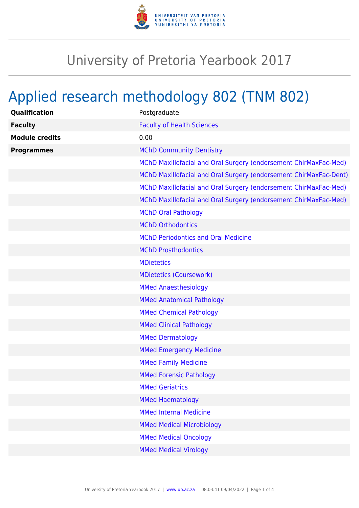

## University of Pretoria Yearbook 2017

## Applied research methodology 802 (TNM 802)

| Qualification         | Postgraduate                                                      |
|-----------------------|-------------------------------------------------------------------|
| <b>Faculty</b>        | <b>Faculty of Health Sciences</b>                                 |
| <b>Module credits</b> | 0.00                                                              |
| <b>Programmes</b>     | <b>MChD Community Dentistry</b>                                   |
|                       | MChD Maxillofacial and Oral Surgery (endorsement ChirMaxFac-Med)  |
|                       | MChD Maxillofacial and Oral Surgery (endorsement ChirMaxFac-Dent) |
|                       | MChD Maxillofacial and Oral Surgery (endorsement ChirMaxFac-Med)  |
|                       | MChD Maxillofacial and Oral Surgery (endorsement ChirMaxFac-Med)  |
|                       | <b>MChD Oral Pathology</b>                                        |
|                       | <b>MChD Orthodontics</b>                                          |
|                       | <b>MChD Periodontics and Oral Medicine</b>                        |
|                       | <b>MChD Prosthodontics</b>                                        |
|                       | <b>MDietetics</b>                                                 |
|                       | <b>MDietetics (Coursework)</b>                                    |
|                       | <b>MMed Anaesthesiology</b>                                       |
|                       | <b>MMed Anatomical Pathology</b>                                  |
|                       | <b>MMed Chemical Pathology</b>                                    |
|                       | <b>MMed Clinical Pathology</b>                                    |
|                       | <b>MMed Dermatology</b>                                           |
|                       | <b>MMed Emergency Medicine</b>                                    |
|                       | <b>MMed Family Medicine</b>                                       |
|                       | <b>MMed Forensic Pathology</b>                                    |
|                       | <b>MMed Geriatrics</b>                                            |
|                       | <b>MMed Haematology</b>                                           |
|                       | <b>MMed Internal Medicine</b>                                     |
|                       | <b>MMed Medical Microbiology</b>                                  |
|                       | <b>MMed Medical Oncology</b>                                      |
|                       | <b>MMed Medical Virology</b>                                      |
|                       |                                                                   |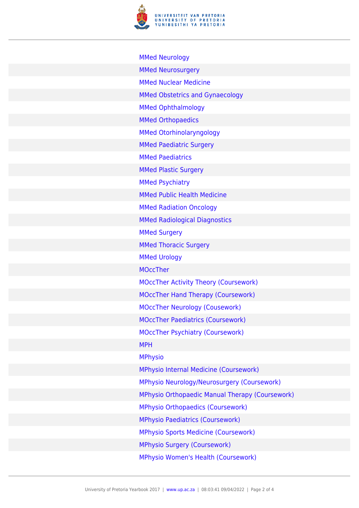

| <b>MMed Neurology</b>                           |
|-------------------------------------------------|
| <b>MMed Neurosurgery</b>                        |
| <b>MMed Nuclear Medicine</b>                    |
| <b>MMed Obstetrics and Gynaecology</b>          |
| <b>MMed Ophthalmology</b>                       |
| <b>MMed Orthopaedics</b>                        |
| <b>MMed Otorhinolaryngology</b>                 |
| <b>MMed Paediatric Surgery</b>                  |
| <b>MMed Paediatrics</b>                         |
| <b>MMed Plastic Surgery</b>                     |
| <b>MMed Psychiatry</b>                          |
| <b>MMed Public Health Medicine</b>              |
| <b>MMed Radiation Oncology</b>                  |
| <b>MMed Radiological Diagnostics</b>            |
| <b>MMed Surgery</b>                             |
| <b>MMed Thoracic Surgery</b>                    |
| <b>MMed Urology</b>                             |
| <b>MOccTher</b>                                 |
| <b>MOccTher Activity Theory (Coursework)</b>    |
| <b>MOccTher Hand Therapy (Coursework)</b>       |
| <b>MOccTher Neurology (Cousework)</b>           |
| <b>MOccTher Paediatrics (Coursework)</b>        |
| <b>MOccTher Psychiatry (Coursework)</b>         |
| <b>MPH</b>                                      |
| <b>MPhysio</b>                                  |
| <b>MPhysio Internal Medicine (Coursework)</b>   |
| MPhysio Neurology/Neurosurgery (Coursework)     |
| MPhysio Orthopaedic Manual Therapy (Coursework) |
| <b>MPhysio Orthopaedics (Coursework)</b>        |
| <b>MPhysio Paediatrics (Coursework)</b>         |
| <b>MPhysio Sports Medicine (Coursework)</b>     |
| <b>MPhysio Surgery (Coursework)</b>             |
| MPhysio Women's Health (Coursework)             |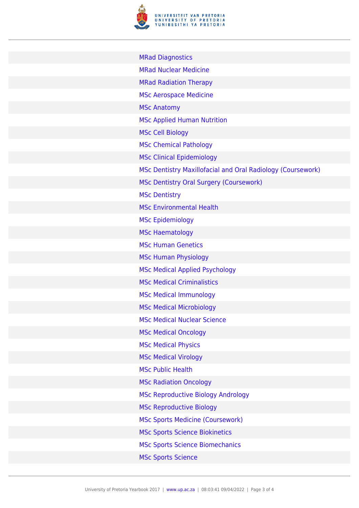

| <b>MRad Diagnostics</b>                                     |
|-------------------------------------------------------------|
| <b>MRad Nuclear Medicine</b>                                |
| <b>MRad Radiation Therapy</b>                               |
| <b>MSc Aerospace Medicine</b>                               |
| <b>MSc Anatomy</b>                                          |
| <b>MSc Applied Human Nutrition</b>                          |
| <b>MSc Cell Biology</b>                                     |
| <b>MSc Chemical Pathology</b>                               |
| <b>MSc Clinical Epidemiology</b>                            |
| MSc Dentistry Maxillofacial and Oral Radiology (Coursework) |
| MSc Dentistry Oral Surgery (Coursework)                     |
| <b>MSc Dentistry</b>                                        |
| <b>MSc Environmental Health</b>                             |
| <b>MSc Epidemiology</b>                                     |
| <b>MSc Haematology</b>                                      |
| <b>MSc Human Genetics</b>                                   |
| <b>MSc Human Physiology</b>                                 |
| <b>MSc Medical Applied Psychology</b>                       |
| <b>MSc Medical Criminalistics</b>                           |
| <b>MSc Medical Immunology</b>                               |
| <b>MSc Medical Microbiology</b>                             |
| <b>MSc Medical Nuclear Science</b>                          |
| <b>MSc Medical Oncology</b>                                 |
| <b>MSc Medical Physics</b>                                  |
| <b>MSc Medical Virology</b>                                 |
| <b>MSc Public Health</b>                                    |
| <b>MSc Radiation Oncology</b>                               |
| <b>MSc Reproductive Biology Andrology</b>                   |
| <b>MSc Reproductive Biology</b>                             |
| <b>MSc Sports Medicine (Coursework)</b>                     |
| <b>MSc Sports Science Biokinetics</b>                       |
| <b>MSc Sports Science Biomechanics</b>                      |
| <b>MSc Sports Science</b>                                   |